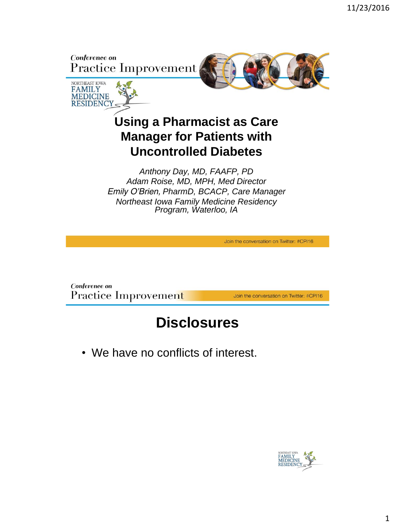



*Anthony Day, MD, FAAFP, PD Adam Roise, MD, MPH, Med Director Emily O'Brien, PharmD, BCACP, Care Manager Northeast Iowa Family Medicine Residency Program, Waterloo, IA*

Join the conversation on Twitter: #CPI16

Conference on Practice Improvement

Join the conversation on Twitter: #CPI16

#### **Disclosures**

• We have no conflicts of interest.

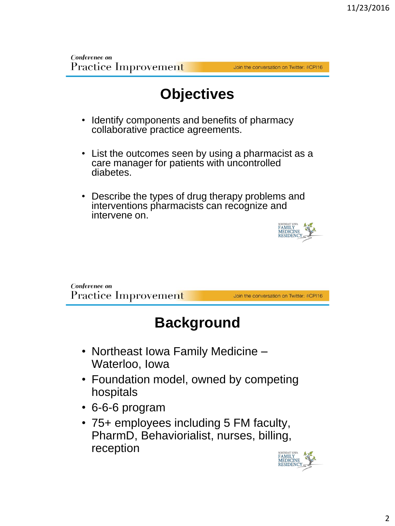Join the conversation on Twitter: #CPI16

# **Objectives**

- Identify components and benefits of pharmacy collaborative practice agreements.
- List the outcomes seen by using a pharmacist as a care manager for patients with uncontrolled diabetes.
- Describe the types of drug therapy problems and interventions pharmacists can recognize and intervene on.



Conference on Practice Improvement

Join the conversation on Twitter: #CPI16

## **Background**

- Northeast Iowa Family Medicine Waterloo, Iowa
- Foundation model, owned by competing hospitals
- 6-6-6 program
- 75+ employees including 5 FM faculty, PharmD, Behaviorialist, nurses, billing, reception

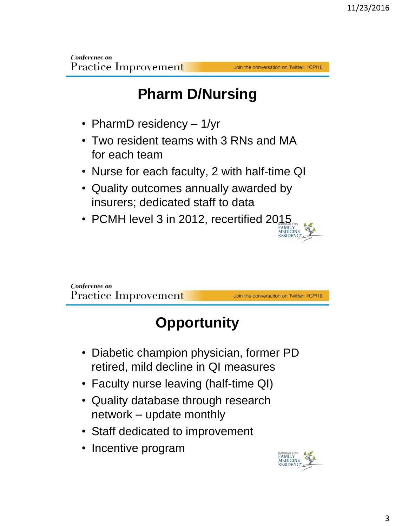Join the conversation on Twitter: #CPI16

Join the conversation on Twitter: #CPI16

# **Pharm D/Nursing**

- PharmD residency 1/yr
- Two resident teams with 3 RNs and MA for each team
- Nurse for each faculty, 2 with half-time QI
- Quality outcomes annually awarded by insurers; dedicated staff to data
- PCMH level 3 in 2012, recertified 2015

Conference on Practice Improvemen<mark>t</mark>

# **Opportunity**

- Diabetic champion physician, former PD retired, mild decline in QI measures
- Faculty nurse leaving (half-time QI)
- Quality database through research network – update monthly
- Staff dedicated to improvement
- Incentive program

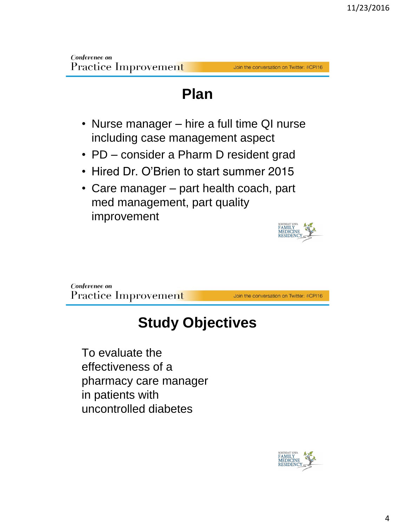#### Join the conversation on Twitter: #CPI16

#### **Plan**

- Nurse manager hire a full time QI nurse including case management aspect
- PD consider a Pharm D resident grad
- Hired Dr. O'Brien to start summer 2015
- Care manager part health coach, part med management, part quality improvement



Join the conversation on Twitter: #CPI16

## **Study Objectives**

To evaluate the effectiveness of a pharmacy care manager in patients with uncontrolled diabetes

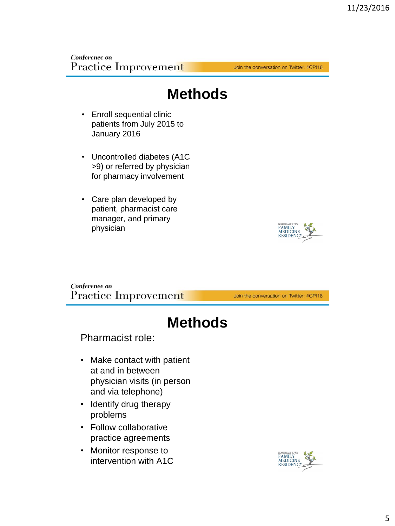Join the conversation on Twitter: #CPI16

#### **Methods**

- Enroll sequential clinic patients from July 2015 to January 2016
- Uncontrolled diabetes (A1C >9) or referred by physician for pharmacy involvement
- Care plan developed by patient, pharmacist care manager, and primary physician

Conference on Practice Improvement

Join the conversation on Twitter: #CPI16

#### **Methods**

Pharmacist role:

- Make contact with patient at and in between physician visits (in person and via telephone)
- Identify drug therapy problems
- Follow collaborative practice agreements
- Monitor response to intervention with A1C

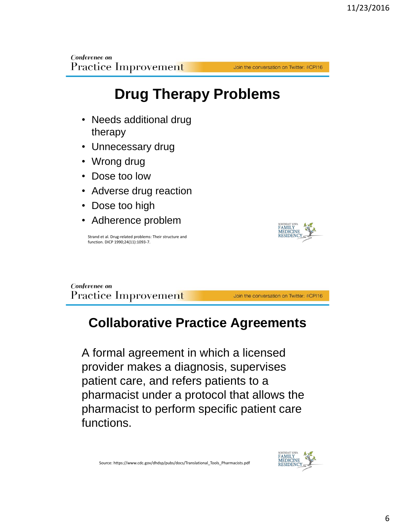# **Drug Therapy Problems**

- Needs additional drug therapy
- Unnecessary drug
- Wrong drug
- Dose too low
- Adverse drug reaction
- Dose too high
- Adherence problem

Strand et al. Drug-related problems: Their structure and function. DICP 1990;24(11):1093-7.



Conference on Practice Improvement

Join the conversation on Twitter: #CPI16

Join the conversation on Twitter: #CPI16

#### **Collaborative Practice Agreements**

A formal agreement in which a licensed provider makes a diagnosis, supervises patient care, and refers patients to a pharmacist under a protocol that allows the pharmacist to perform specific patient care functions.

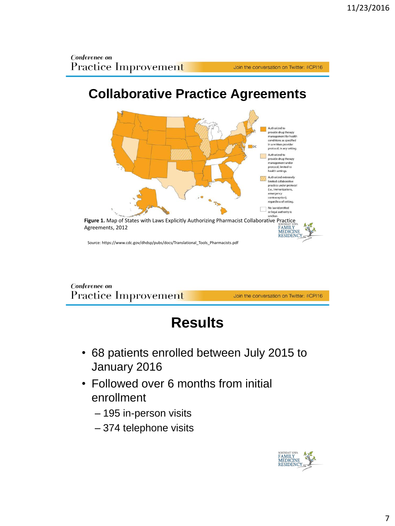## **Collaborative Practice Agreements**



Conference on Practice Improvement

Join the conversation on Twitter: #CPI16

Join the conversation on Twitter: #CPI16

# **Results**

- 68 patients enrolled between July 2015 to January 2016
- Followed over 6 months from initial enrollment
	- 195 in-person visits
	- 374 telephone visits

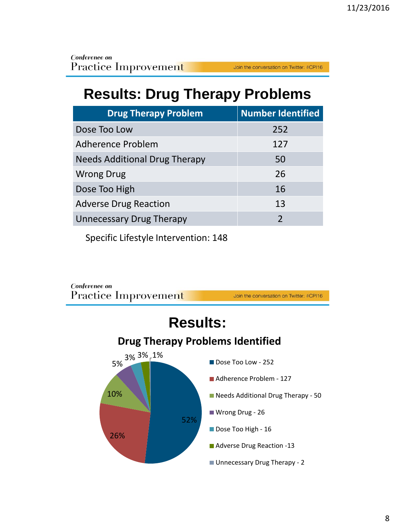# **Results: Drug Therapy Problems**

| <b>Drug Therapy Problem</b>          | <b>Number Identified</b> |
|--------------------------------------|--------------------------|
| Dose Too Low                         | 252                      |
| Adherence Problem                    | 127                      |
| <b>Needs Additional Drug Therapy</b> | 50                       |
| <b>Wrong Drug</b>                    | 26                       |
| Dose Too High                        | 16                       |
| <b>Adverse Drug Reaction</b>         | 13                       |
| <b>Unnecessary Drug Therapy</b>      | $\overline{2}$           |

Specific Lifestyle Intervention: 148

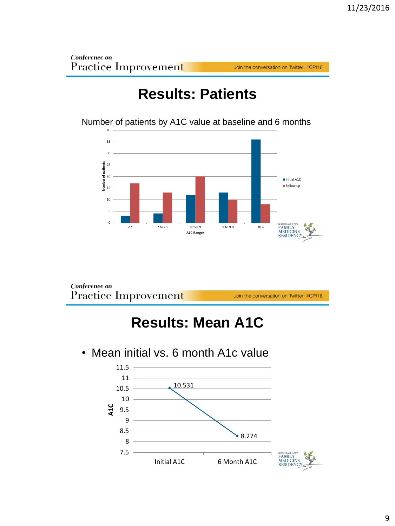Join the conversation on Twitter: #CPI16

## **Results: Patients**

Number of patients by A1C value at baseline and 6 months



Conference on Practice Improvement

Join the conversation on Twitter: #CPI16

## **Results: Mean A1C**

• Mean initial vs. 6 month A1c value

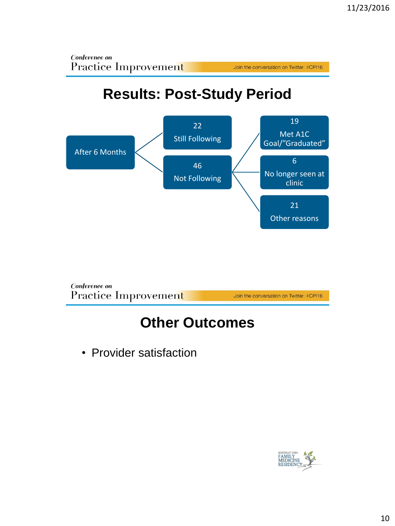

# **Results: Post-Study Period**





### **Other Outcomes**

• Provider satisfaction

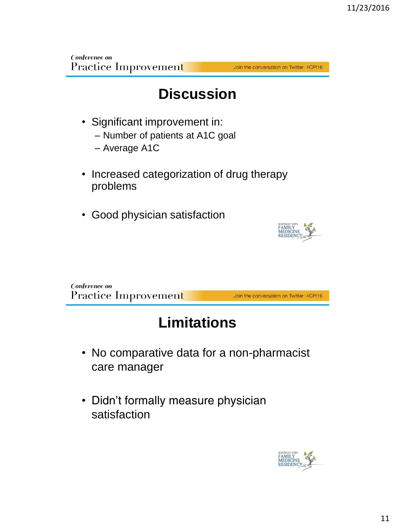Join the conversation on Twitter: #CPI16

## **Discussion**

- Significant improvement in:
	- Number of patients at A1C goal
	- Average A1C
- Increased categorization of drug therapy problems
- Good physician satisfaction



Conference on Practice Improvement Join the conversation on Twitter: #CPI16

# **Limitations**

- No comparative data for a non-pharmacist care manager
- Didn't formally measure physician satisfaction

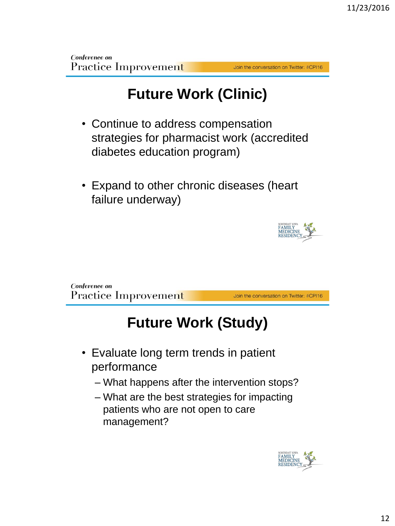Join the conversation on Twitter: #CPI16

# **Future Work (Clinic)**

- Continue to address compensation strategies for pharmacist work (accredited diabetes education program)
- Expand to other chronic diseases (heart failure underway)



Conference on Practice Improvemen<mark>t</mark>

Join the conversation on Twitter: #CPI16

# **Future Work (Study)**

- Evaluate long term trends in patient performance
	- What happens after the intervention stops?
	- What are the best strategies for impacting patients who are not open to care management?

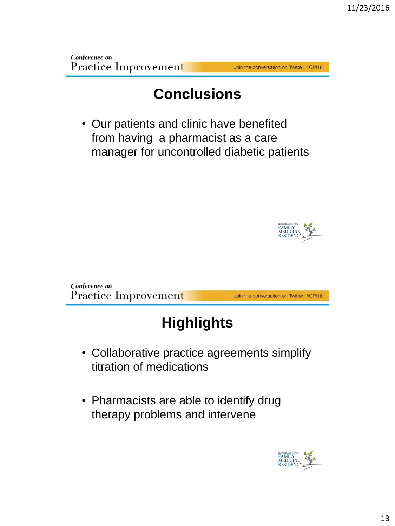#### Join the conversation on Twitter: #CPI16

#### **Conclusions**

• Our patients and clinic have benefited from having a pharmacist as a care manager for uncontrolled diabetic patients



Conference on Practice Improvement

Join the conversation on Twitter: #CPI16

# **Highlights**

- Collaborative practice agreements simplify titration of medications
- Pharmacists are able to identify drug therapy problems and intervene